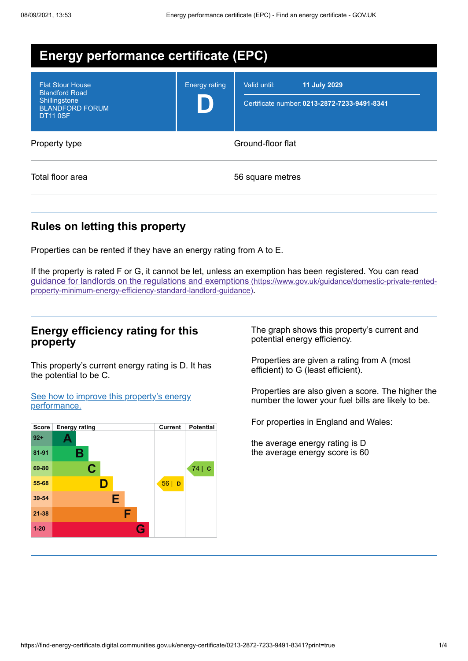| <b>Energy performance certificate (EPC)</b>                                                                    |                      |                                                                                     |  |  |  |
|----------------------------------------------------------------------------------------------------------------|----------------------|-------------------------------------------------------------------------------------|--|--|--|
| <b>Flat Stour House</b><br><b>Blandford Road</b><br>Shillingstone<br><b>BLANDFORD FORUM</b><br><b>DT11 0SF</b> | <b>Energy rating</b> | <b>11 July 2029</b><br>Valid until:<br>Certificate number: 0213-2872-7233-9491-8341 |  |  |  |
| Property type                                                                                                  | Ground-floor flat    |                                                                                     |  |  |  |
| Total floor area                                                                                               |                      | 56 square metres                                                                    |  |  |  |

## **Rules on letting this property**

Properties can be rented if they have an energy rating from A to E.

If the property is rated F or G, it cannot be let, unless an exemption has been registered. You can read guidance for landlords on the regulations and exemptions (https://www.gov.uk/guidance/domestic-private-rented[property-minimum-energy-efficiency-standard-landlord-guidance\)](https://www.gov.uk/guidance/domestic-private-rented-property-minimum-energy-efficiency-standard-landlord-guidance).

## **Energy efficiency rating for this property**

This property's current energy rating is D. It has the potential to be C.

See how to improve this property's energy [performance.](#page-2-0)



The graph shows this property's current and potential energy efficiency.

Properties are given a rating from A (most efficient) to G (least efficient).

Properties are also given a score. The higher the number the lower your fuel bills are likely to be.

For properties in England and Wales:

the average energy rating is D the average energy score is 60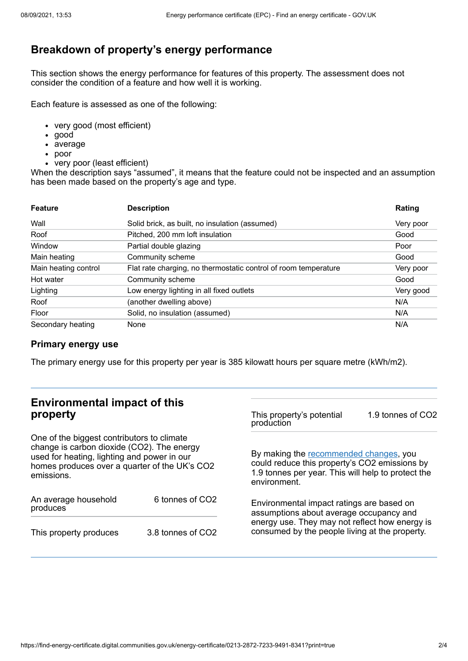# **Breakdown of property's energy performance**

This section shows the energy performance for features of this property. The assessment does not consider the condition of a feature and how well it is working.

Each feature is assessed as one of the following:

- very good (most efficient)
- good
- average
- poor
- very poor (least efficient)

When the description says "assumed", it means that the feature could not be inspected and an assumption has been made based on the property's age and type.

| <b>Feature</b>       | <b>Description</b>                                              | Rating    |
|----------------------|-----------------------------------------------------------------|-----------|
| Wall                 | Solid brick, as built, no insulation (assumed)                  | Very poor |
| Roof                 | Pitched, 200 mm loft insulation                                 | Good      |
| Window               | Partial double glazing                                          | Poor      |
| Main heating         | Community scheme                                                | Good      |
| Main heating control | Flat rate charging, no thermostatic control of room temperature | Very poor |
| Hot water            | Community scheme                                                | Good      |
| Lighting             | Low energy lighting in all fixed outlets                        | Very good |
| Roof                 | (another dwelling above)                                        | N/A       |
| Floor                | Solid, no insulation (assumed)                                  | N/A       |
| Secondary heating    | None                                                            | N/A       |

#### **Primary energy use**

The primary energy use for this property per year is 385 kilowatt hours per square metre (kWh/m2).

#### **Environmental impact of this property** One of the biggest contributors to climate change is carbon dioxide (CO2). The energy used for heating, lighting and power in our homes produces over a quarter of the UK's CO2 emissions. An average household produces 6 tonnes of CO2 This property produces 3.8 tonnes of CO2 This property's potential production 1.9 tonnes of CO2 By making the [recommended](#page-2-0) changes, you could reduce this property's CO2 emissions by 1.9 tonnes per year. This will help to protect the environment. Environmental impact ratings are based on assumptions about average occupancy and energy use. They may not reflect how energy is consumed by the people living at the property.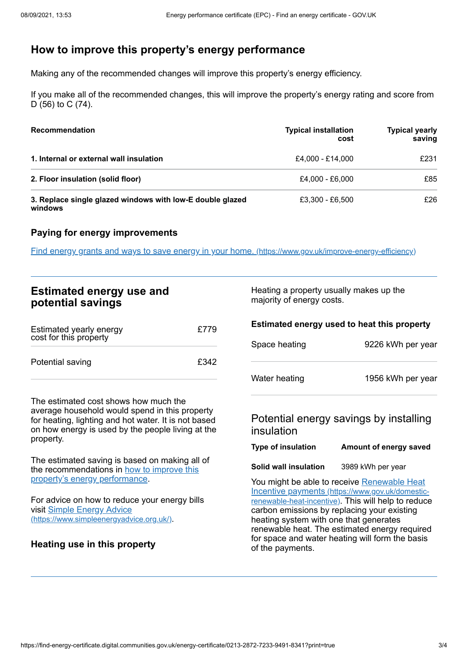# <span id="page-2-0"></span>**How to improve this property's energy performance**

Making any of the recommended changes will improve this property's energy efficiency.

If you make all of the recommended changes, this will improve the property's energy rating and score from D (56) to C (74).

| <b>Recommendation</b>                                                | <b>Typical installation</b><br>cost | <b>Typical yearly</b><br>saving |
|----------------------------------------------------------------------|-------------------------------------|---------------------------------|
| 1. Internal or external wall insulation                              | £4.000 - £14.000                    | £231                            |
| 2. Floor insulation (solid floor)                                    | £4,000 - £6,000                     | £85                             |
| 3. Replace single glazed windows with low-E double glazed<br>windows | £3.300 - £6.500                     | £26                             |

## **Paying for energy improvements**

Find energy grants and ways to save energy in your home. [\(https://www.gov.uk/improve-energy-efficiency\)](https://www.gov.uk/improve-energy-efficiency)

| <b>Estimated energy use and</b><br>potential savings                                                                                                                                                              |      |                                                      | Heating a property usually makes up the<br>majority of energy costs.                                                                                                                                                                                                                                                                                |  |
|-------------------------------------------------------------------------------------------------------------------------------------------------------------------------------------------------------------------|------|------------------------------------------------------|-----------------------------------------------------------------------------------------------------------------------------------------------------------------------------------------------------------------------------------------------------------------------------------------------------------------------------------------------------|--|
| Estimated yearly energy<br>cost for this property                                                                                                                                                                 | £779 | Space heating                                        | Estimated energy used to heat this property<br>9226 kWh per year                                                                                                                                                                                                                                                                                    |  |
| Potential saving                                                                                                                                                                                                  | £342 | Water heating                                        | 1956 kWh per year                                                                                                                                                                                                                                                                                                                                   |  |
| The estimated cost shows how much the<br>average household would spend in this property<br>for heating, lighting and hot water. It is not based<br>on how energy is used by the people living at the<br>property. |      | Potential energy savings by installing<br>insulation |                                                                                                                                                                                                                                                                                                                                                     |  |
|                                                                                                                                                                                                                   |      | <b>Type of insulation</b>                            | Amount of energy saved                                                                                                                                                                                                                                                                                                                              |  |
| The estimated saving is based on making all of<br>the recommendations in how to improve this                                                                                                                      |      | Solid wall insulation                                | 3989 kWh per year                                                                                                                                                                                                                                                                                                                                   |  |
| property's energy performance.<br>For advice on how to reduce your energy bills<br>visit Simple Energy Advice<br>(https://www.simpleenergyadvice.org.uk/).<br>Heating use in this property                        |      | of the payments.                                     | You might be able to receive Renewable Heat<br>Incentive payments (https://www.gov.uk/domestic-<br>renewable-heat-incentive). This will help to reduce<br>carbon emissions by replacing your existing<br>heating system with one that generates<br>renewable heat. The estimated energy required<br>for space and water heating will form the basis |  |